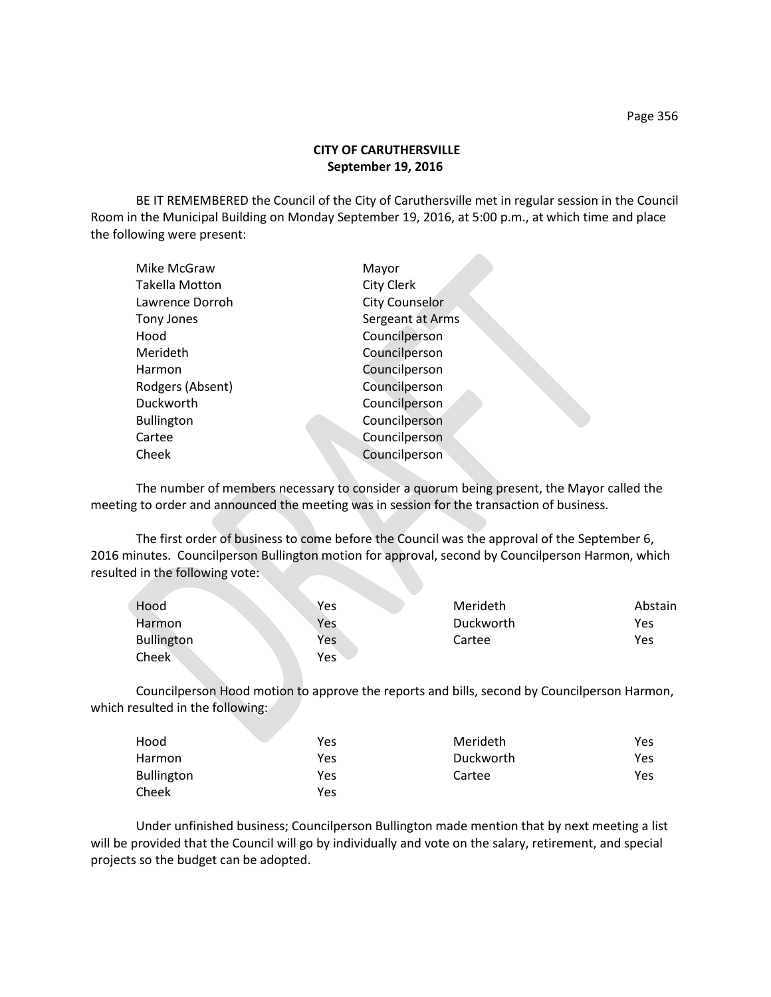## **CITY OF CARUTHERSVILLE September 19, 2016**

BE IT REMEMBERED the Council of the City of Caruthersville met in regular session in the Council Room in the Municipal Building on Monday September 19, 2016, at 5:00 p.m., at which time and place the following were present:

| Mike McGraw       | Mayor                 |
|-------------------|-----------------------|
| Takella Motton    | City Clerk            |
| Lawrence Dorroh   | <b>City Counselor</b> |
| Tony Jones        | Sergeant at Arms      |
| Hood              | Councilperson         |
| Merideth          | Councilperson         |
| Harmon            | Councilperson         |
| Rodgers (Absent)  | Councilperson         |
| Duckworth         | Councilperson         |
| <b>Bullington</b> | Councilperson         |
| Cartee            | Councilperson         |
| Cheek             | Councilperson         |
|                   |                       |

The number of members necessary to consider a quorum being present, the Mayor called the meeting to order and announced the meeting was in session for the transaction of business.

The first order of business to come before the Council was the approval of the September 6, 2016 minutes. Councilperson Bullington motion for approval, second by Councilperson Harmon, which resulted in the following vote:

| Hood              | Yes | Merideth  | Abstain |
|-------------------|-----|-----------|---------|
| <b>Harmon</b>     | Yes | Duckworth | Yes     |
| <b>Bullington</b> | Yes | Cartee    | Yes     |
| Cheek             | Yes |           |         |

Councilperson Hood motion to approve the reports and bills, second by Councilperson Harmon, which resulted in the following:

| Hood              | Yes | Merideth  | Yes |
|-------------------|-----|-----------|-----|
| <b>Harmon</b>     | Yes | Duckworth | Yes |
| <b>Bullington</b> | Yes | Cartee    | Yes |
| Cheek             | Yes |           |     |

Under unfinished business; Councilperson Bullington made mention that by next meeting a list will be provided that the Council will go by individually and vote on the salary, retirement, and special projects so the budget can be adopted.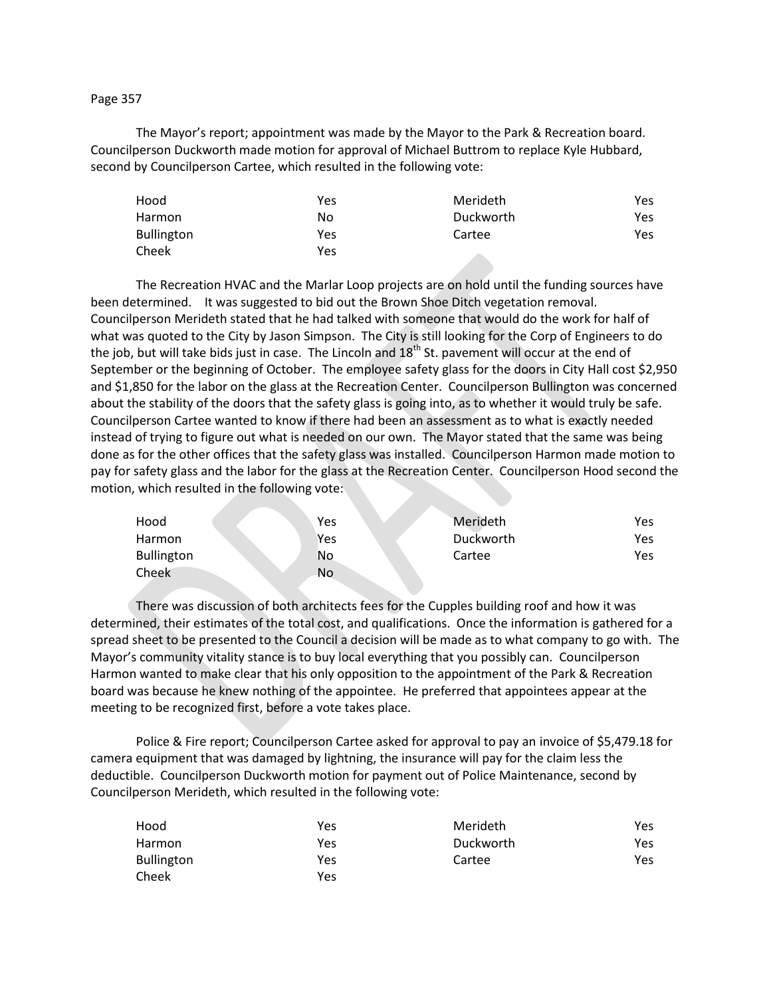## Page 357

The Mayor's report; appointment was made by the Mayor to the Park & Recreation board. Councilperson Duckworth made motion for approval of Michael Buttrom to replace Kyle Hubbard, second by Councilperson Cartee, which resulted in the following vote:

| Hood              | Yes | Merideth  | Yes. |
|-------------------|-----|-----------|------|
| Harmon            | No  | Duckworth | Yes  |
| <b>Bullington</b> | Yes | Cartee    | Yes. |
| Cheek             | Yes |           |      |

The Recreation HVAC and the Marlar Loop projects are on hold until the funding sources have been determined. It was suggested to bid out the Brown Shoe Ditch vegetation removal. Councilperson Merideth stated that he had talked with someone that would do the work for half of what was quoted to the City by Jason Simpson. The City is still looking for the Corp of Engineers to do the job, but will take bids just in case. The Lincoln and 18<sup>th</sup> St. pavement will occur at the end of September or the beginning of October. The employee safety glass for the doors in City Hall cost \$2,950 and \$1,850 for the labor on the glass at the Recreation Center. Councilperson Bullington was concerned about the stability of the doors that the safety glass is going into, as to whether it would truly be safe. Councilperson Cartee wanted to know if there had been an assessment as to what is exactly needed instead of trying to figure out what is needed on our own. The Mayor stated that the same was being done as for the other offices that the safety glass was installed. Councilperson Harmon made motion to pay for safety glass and the labor for the glass at the Recreation Center. Councilperson Hood second the motion, which resulted in the following vote:

| Hood              | Yes | Merideth  | Yes |
|-------------------|-----|-----------|-----|
| Harmon            | Yes | Duckworth | Yes |
| <b>Bullington</b> | No  | Cartee    | Yes |
| Cheek             | No  |           |     |

There was discussion of both architects fees for the Cupples building roof and how it was determined, their estimates of the total cost, and qualifications. Once the information is gathered for a spread sheet to be presented to the Council a decision will be made as to what company to go with. The Mayor's community vitality stance is to buy local everything that you possibly can. Councilperson Harmon wanted to make clear that his only opposition to the appointment of the Park & Recreation board was because he knew nothing of the appointee. He preferred that appointees appear at the meeting to be recognized first, before a vote takes place.

Police & Fire report; Councilperson Cartee asked for approval to pay an invoice of \$5,479.18 for camera equipment that was damaged by lightning, the insurance will pay for the claim less the deductible. Councilperson Duckworth motion for payment out of Police Maintenance, second by Councilperson Merideth, which resulted in the following vote:

| Hood              | Yes | Merideth  | Yes. |
|-------------------|-----|-----------|------|
| Harmon            | Yes | Duckworth | Yes. |
| <b>Bullington</b> | Yes | Cartee    | Yes. |
| Cheek             | Yes |           |      |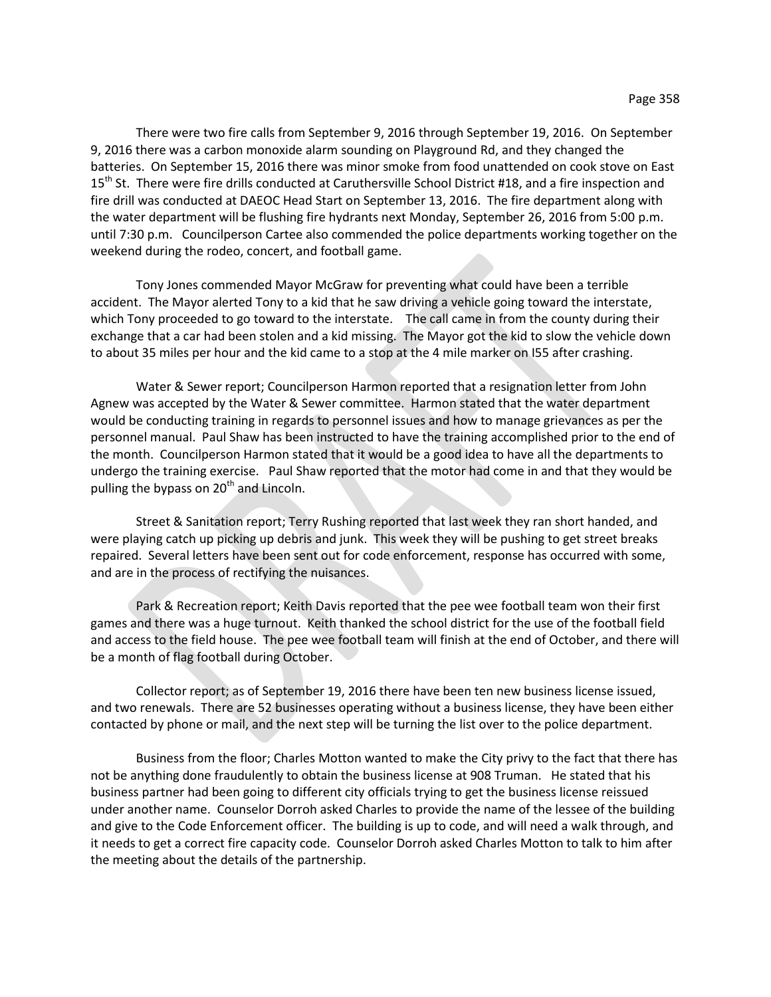There were two fire calls from September 9, 2016 through September 19, 2016. On September 9, 2016 there was a carbon monoxide alarm sounding on Playground Rd, and they changed the batteries. On September 15, 2016 there was minor smoke from food unattended on cook stove on East 15<sup>th</sup> St. There were fire drills conducted at Caruthersville School District #18, and a fire inspection and fire drill was conducted at DAEOC Head Start on September 13, 2016. The fire department along with the water department will be flushing fire hydrants next Monday, September 26, 2016 from 5:00 p.m. until 7:30 p.m. Councilperson Cartee also commended the police departments working together on the weekend during the rodeo, concert, and football game.

Tony Jones commended Mayor McGraw for preventing what could have been a terrible accident. The Mayor alerted Tony to a kid that he saw driving a vehicle going toward the interstate, which Tony proceeded to go toward to the interstate. The call came in from the county during their exchange that a car had been stolen and a kid missing. The Mayor got the kid to slow the vehicle down to about 35 miles per hour and the kid came to a stop at the 4 mile marker on I55 after crashing.

Water & Sewer report; Councilperson Harmon reported that a resignation letter from John Agnew was accepted by the Water & Sewer committee. Harmon stated that the water department would be conducting training in regards to personnel issues and how to manage grievances as per the personnel manual. Paul Shaw has been instructed to have the training accomplished prior to the end of the month. Councilperson Harmon stated that it would be a good idea to have all the departments to undergo the training exercise. Paul Shaw reported that the motor had come in and that they would be pulling the bypass on  $20<sup>th</sup>$  and Lincoln.

Street & Sanitation report; Terry Rushing reported that last week they ran short handed, and were playing catch up picking up debris and junk. This week they will be pushing to get street breaks repaired. Several letters have been sent out for code enforcement, response has occurred with some, and are in the process of rectifying the nuisances.

Park & Recreation report; Keith Davis reported that the pee wee football team won their first games and there was a huge turnout. Keith thanked the school district for the use of the football field and access to the field house. The pee wee football team will finish at the end of October, and there will be a month of flag football during October.

Collector report; as of September 19, 2016 there have been ten new business license issued, and two renewals. There are 52 businesses operating without a business license, they have been either contacted by phone or mail, and the next step will be turning the list over to the police department.

Business from the floor; Charles Motton wanted to make the City privy to the fact that there has not be anything done fraudulently to obtain the business license at 908 Truman. He stated that his business partner had been going to different city officials trying to get the business license reissued under another name. Counselor Dorroh asked Charles to provide the name of the lessee of the building and give to the Code Enforcement officer. The building is up to code, and will need a walk through, and it needs to get a correct fire capacity code. Counselor Dorroh asked Charles Motton to talk to him after the meeting about the details of the partnership.